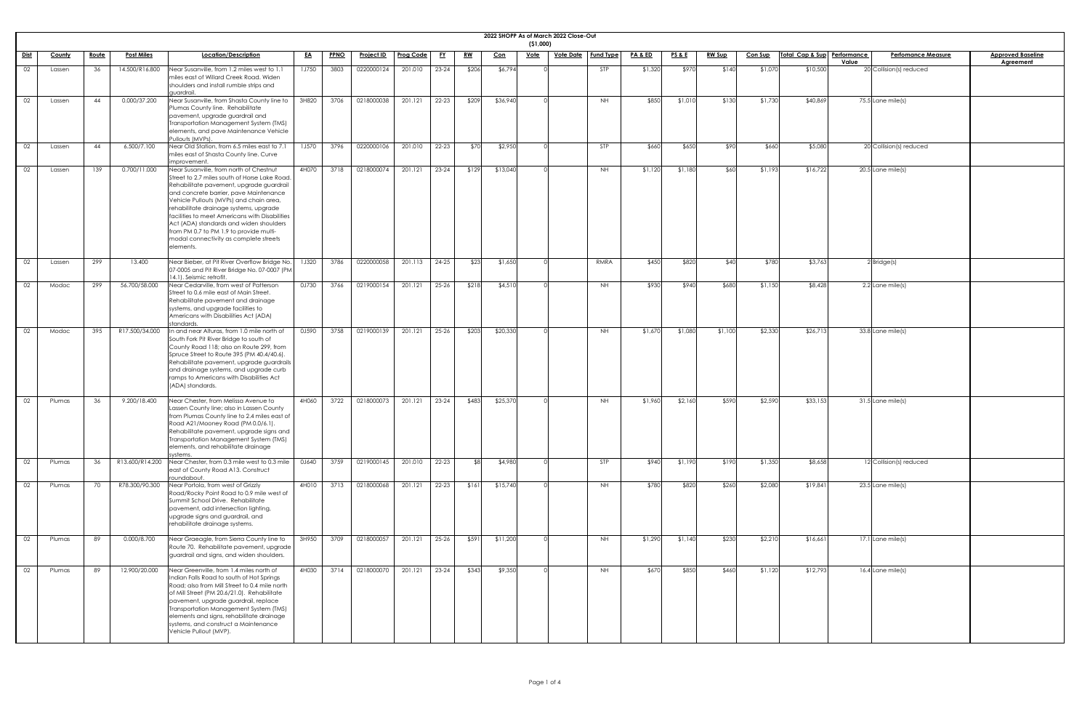|             |        |              |                   |                                                                                                                                                                                                                                                                                                                                                                                                                                                                    |              |             |                   |                  |           |            |          | ( \$1,000)  | 2022 SHOPP As of March 2022 Close-Out |                  |                    |                 |               |                |                             |                                  |                          |
|-------------|--------|--------------|-------------------|--------------------------------------------------------------------------------------------------------------------------------------------------------------------------------------------------------------------------------------------------------------------------------------------------------------------------------------------------------------------------------------------------------------------------------------------------------------------|--------------|-------------|-------------------|------------------|-----------|------------|----------|-------------|---------------------------------------|------------------|--------------------|-----------------|---------------|----------------|-----------------------------|----------------------------------|--------------------------|
| <u>Dist</u> | County | <u>Route</u> | <b>Post Miles</b> | Location/Description                                                                                                                                                                                                                                                                                                                                                                                                                                               | <u>EA</u>    | <b>PPNO</b> | <u>Project ID</u> | <b>Prog Code</b> | <u>FY</u> | <u>RW</u>  | Con      | <u>Vote</u> | <u>Vote Date</u>                      | <b>Fund Type</b> | <b>PA &amp; ED</b> | <b>PS&amp;E</b> | <b>RW Sup</b> | <b>Con Sup</b> | Total Cap & Sup Performance | <b>Perfomance Measure</b>        | <b>Approved Baseline</b> |
| 02          | Lassen | 36           | 14.500/R16.800    | Near Susanville, from 1.2 miles west to 1.1<br>miles east of Willard Creek Road. Widen<br>shoulders and install rumble strips and<br>auardrail.                                                                                                                                                                                                                                                                                                                    | <b>1J750</b> | 3803        | 0220000124        | 201.010          | $23 - 24$ | \$206      | \$6,794  |             |                                       | STP              | \$1,320            | \$970           | \$140         | \$1,070        | \$10,500                    | Value<br>20 Collision(s) reduced | Agreement                |
| 02          | Lassen | 44           | 0.000/37.200      | Near Susanville, from Shasta County line to<br>Plumas County line. Rehabilitate<br>pavement, upgrade guardrail and<br>Transportation Management System (TMS)<br>elements, and pave Maintenance Vehicle<br>Pullouts (MVPs).                                                                                                                                                                                                                                         | 3H820        | 3706        | 0218000038        | 201.121          | $22 - 23$ | \$209      | \$36,940 |             |                                       | NH               | \$850              | \$1,010         | \$130         | \$1,730        | \$40,869                    | 75.5 Lane mile(s)                |                          |
| 02          | Lassen | 44           | 6.500/7.100       | Near Old Station, from 6.5 miles east to 7.1<br>miles east of Shasta County line. Curve<br>improvement.                                                                                                                                                                                                                                                                                                                                                            | <b>1J570</b> | 3796        | 0220000106        | 201.010          | $22 - 23$ | \$70       | \$2,950  |             |                                       | STP              | \$660              | \$650           | \$90          | \$660          | \$5,080                     | 20 Collision(s) reduced          |                          |
| 02          | Lassen | 139          | 0.700/11.000      | Near Susanville, from north of Chestnut<br>Street to 2.7 miles south of Horse Lake Road.<br>Rehabilitate pavement, upgrade guardrail<br>and concrete barrier, pave Maintenance<br>Vehicle Pullouts (MVPs) and chain area,<br>rehabilitate drainage systems, upgrade<br>facilities to meet Americans with Disabilities<br>Act (ADA) standards and widen shoulders<br>from PM 0.7 to PM 1.9 to provide multi-<br>modal connectivity as complete streets<br>elements. | 4H070        | 3718        | 0218000074        | 201.121          | $23 - 24$ | \$129      | \$13,040 |             |                                       | <b>NH</b>        | \$1,120            | \$1,180         | \$60          | \$1,193        | \$16,722                    | $20.5$ Lane mile(s)              |                          |
| 02          | Lassen | 299          | 13.400            | Near Bieber, at Pit River Overflow Bridge No.<br>07-0005 and Pit River Bridge No. 07-0007 (PM)<br>14.1). Seismic retrofit.                                                                                                                                                                                                                                                                                                                                         | <b>1J320</b> | 3786        | 0220000058        | 201.113          | $24 - 25$ | \$23       | \$1,650  |             |                                       | RMRA             | \$450              | \$820           | -\$40         | \$780          | \$3,763                     | $2$ Bridge(s)                    |                          |
| 02          | Modoc  | 299          | 56.700/58.000     | Near Cedarville, from west of Patterson<br>Street to 0.6 mile east of Main Street.<br>Rehabilitate pavement and drainage<br>systems, and upgrade facilities to<br>Americans with Disabilities Act (ADA)<br>standards.                                                                                                                                                                                                                                              | 0J730        | 3766        | 0219000154        | 201.121          | $25 - 26$ | \$218      | \$4,510  |             |                                       | NH.              | \$930              | \$940           | \$680         | \$1,150        | \$8,428                     | 2.2 Lane mile(s)                 |                          |
| 02          | Modoc  | 395          | R17.500/34.000    | n and near Alturas, from 1.0 mile north of<br>South Fork Pit River Bridge to south of<br>County Road 118; also on Route 299, from<br>Spruce Street to Route 395 (PM 40.4/40.6).<br>Rehabilitate pavement, upgrade guardrails<br>and drainage systems, and upgrade curb<br>ramps to Americans with Disabilities Act<br>(ADA) standards.                                                                                                                             | 0J590        | 3758        | 0219000139        | 201.121          | $25 - 26$ | \$203      | \$20,330 |             |                                       | <b>NH</b>        | \$1,670            | \$1,080         | \$1,100       | \$2,330        | \$26,713                    | $33.8$ Lane mile(s)              |                          |
| 02          | Plumas | 36           | 9.200/18.400      | Near Chester, from Melissa Avenue to<br>Lassen County line; also in Lassen County<br>from Plumas County line to 2.4 miles east of<br>Road A21/Mooney Road (PM 0.0/6.1).<br>Rehabilitate pavement, upgrade signs and<br>Transportation Management System (TMS)<br>elements, and rehabilitate drainage<br>systems.                                                                                                                                                   | 4H060        | 3722        | 0218000073        | 201.121          | $23 - 24$ | \$483      | \$25,370 |             |                                       | NH               | \$1,960            | \$2,160         | \$590         | \$2,590        | \$33,153                    | $31.5$ Lane mile(s)              |                          |
| 02          | Plumas | 36           | R13.600/R14.200   | Near Chester, from 0.3 mile west to 0.3 mile<br>east of County Road A13. Construct<br>roundabout.                                                                                                                                                                                                                                                                                                                                                                  | 0J640        | 3759        | 0219000145        | 201.010          | $22 - 23$ | <b>\$8</b> | \$4,980  |             |                                       | STP              | \$940              | \$1,190         | \$190         | \$1,350        | \$8,658                     | 12 Collision(s) reduced          |                          |
| 02          | Plumas | 70           | R78.300/90.300    | Near Portola, from west of Grizzly<br>Road/Rocky Point Road to 0.9 mile west of<br>Summit School Drive. Rehabilitate<br>pavement, add intersection lighting,<br>upgrade signs and guardrail, and<br>rehabilitate drainage systems.                                                                                                                                                                                                                                 | 4H010        | 3713        | 0218000068        | 201.121          | 22-23     | \$161      | \$15,740 |             |                                       | NH               | \$780              | \$820           | \$260         | \$2,080        | \$19,841                    | $23.5$ Lane mile(s)              |                          |
| 02          | Plumas | 89           | 0.000/8.700       | Near Graeagle, from Sierra County line to<br>Route 70. Rehabilitate pavement, upgrade<br>guardrail and signs, and widen shoulders.                                                                                                                                                                                                                                                                                                                                 | 3H950        | 3709        | 0218000057        | 201.121          | $25 - 26$ | \$591      | \$11,200 |             |                                       | NH               | \$1,290            | \$1,140         | \$230         | \$2,210        | \$16,661                    | 17.1 Lane mile(s)                |                          |
| 02          | Plumas | 89           | 12.900/20.000     | Near Greenville, from 1.4 miles north of<br>Indian Falls Road to south of Hot Springs<br>Road; also from Mill Street to 0.4 mile north<br>of Mill Street (PM 20.6/21.0). Rehabilitate<br>pavement, upgrade guardrail, replace<br>Transportation Management System (TMS)<br>elements and signs, rehabilitate drainage<br>systems, and construct a Maintenance<br>Vehicle Pullout (MVP).                                                                             | 4H030        | 3714        | 0218000070        | 201.121          | $23 - 24$ | \$343      | \$9,350  |             |                                       | <b>NH</b>        | \$670              | \$850           | \$460         | \$1,120        | \$12,793                    | $16.4$ Lane mile(s)              |                          |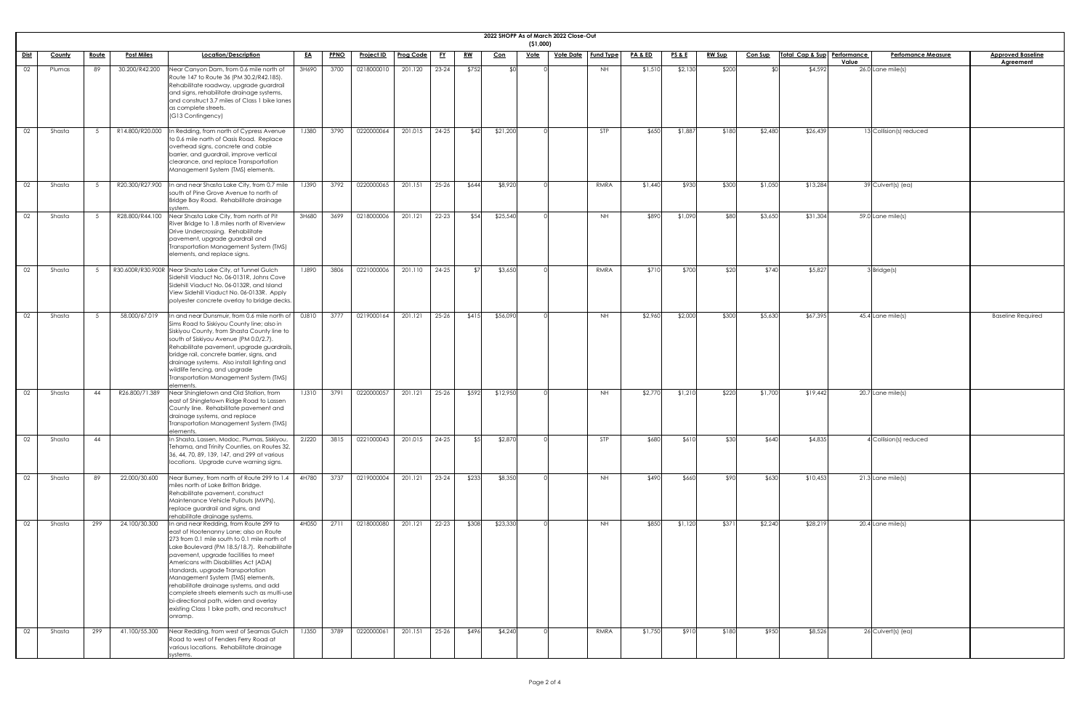|             |        |              |                   |                                                                                                                                                                                                                                                                                                                                                                                                                                                                                                                                         |              |      |                   |                  |           |           |            | (51,000)    | 2022 SHOPP As of March 2022 Close-Out |            |                    |                 |               |                |                             |       |                           |                                       |
|-------------|--------|--------------|-------------------|-----------------------------------------------------------------------------------------------------------------------------------------------------------------------------------------------------------------------------------------------------------------------------------------------------------------------------------------------------------------------------------------------------------------------------------------------------------------------------------------------------------------------------------------|--------------|------|-------------------|------------------|-----------|-----------|------------|-------------|---------------------------------------|------------|--------------------|-----------------|---------------|----------------|-----------------------------|-------|---------------------------|---------------------------------------|
| <u>Dist</u> | County | <u>Route</u> | <b>Post Miles</b> | Location/Description                                                                                                                                                                                                                                                                                                                                                                                                                                                                                                                    | <u>EA</u>    | PPNO | <b>Project ID</b> | <b>Prog Code</b> | <u>FY</u> | <u>RW</u> | <u>Con</u> | <u>Vote</u> | <u>Vote Date</u>                      | Fund Type  | <b>PA &amp; ED</b> | <u>PS&amp;E</u> | <b>RW Sup</b> | <b>Con Sup</b> | Total Cap & Sup Performance | Value | <b>Perfomance Measure</b> | <b>Approved Baseline</b><br>Agreement |
| 02          | Plumas | 89           | 30.200/R42.200    | Near Canyon Dam, from 0.6 mile north of<br>Route 147 to Route 36 (PM 30.2/R42.185).<br>Rehabilitate roadway, upgrade guardrail<br>and signs, rehabilitate drainage systems,<br>and construct 3.7 miles of Class 1 bike lanes<br>as complete streets.<br>(G13 Contingency)                                                                                                                                                                                                                                                               | 3H690        | 3700 | 0218000010        | 201.120          | $23 - 24$ | \$752     | ላ ሰ        |             |                                       | NH         | \$1,510            | \$2,130         | \$200         |                | \$4,592                     |       | 26.0 Lane mile(s)         |                                       |
| 02          | Shasta |              | R14.800/R20.000   | In Redding, from north of Cypress Avenue<br>to 0.6 mile north of Oasis Road. Replace<br>overhead signs, concrete and cable<br>barrier, and guardrail, improve vertical<br>clearance, and replace Transportation<br>Management System (TMS) elements.                                                                                                                                                                                                                                                                                    | <b>1J380</b> | 3790 | 0220000064        | 201.015          | $24 - 25$ | \$42      | \$21,200   |             |                                       | <b>STP</b> | \$650              | \$1,88          | \$180         | \$2,480        | \$26,439                    |       | 13 Collision(s) reduced   |                                       |
| 02          | Shasta |              |                   | R20.300/R27.900  In and near Shasta Lake City, from 0.7 mile<br>south of Pine Grove Avenue to north of<br>Bridge Bay Road. Rehabilitate drainage<br>system.                                                                                                                                                                                                                                                                                                                                                                             | <b>1J390</b> | 3792 | 0220000065        | 201.151          | $25 - 26$ | \$644     | \$8,920    |             |                                       | RMRA       | \$1,440            | \$930           | \$300         | \$1,050        | \$13,284                    |       | 39 Culvert(s) (ea)        |                                       |
| 02          | Shasta |              |                   | R28.800/R44.100 Near Shasta Lake City, from north of Pit<br>River Bridge to 1.8 miles north of Riverview<br>Drive Undercrossing. Rehabilitate<br>pavement, upgrade guardrail and<br>Transportation Management System (TMS)<br>elements, and replace signs.                                                                                                                                                                                                                                                                              | 3H680        | 3699 | 0218000006        | 201.121          | 22-23     | \$54      | \$25,540   |             |                                       | NH         | \$890              | \$1,090         | \$80          | \$3,650        | \$31,304                    |       | 59.0 Lane mile(s)         |                                       |
| 02          | Shasta |              |                   | R30.600R/R30.900R Near Shasta Lake City, at Tunnel Gulch<br>Sidehill Viaduct No. 06-0131R, Johns Cove<br>Sidehill Viaduct No. 06-0132R, and Island<br>View Sidehill Viaduct No. 06-0133R. Apply<br>polyester concrete overlay to bridge decks                                                                                                                                                                                                                                                                                           | 1J890        | 3806 | 0221000006        | 201.110          | 24-25     |           | \$3,650    |             |                                       | RMRA       | \$710              | \$700           | \$20          | \$740          | \$5,827                     |       | 3 Bridge(s)               |                                       |
| 02          | Shasta |              | 58.000/67.019     | In and near Dunsmuir, from 0.6 mile north of<br>Sims Road to Siskiyou County line; also in<br>Siskiyou County, from Shasta County line to<br>south of Siskiyou Avenue (PM 0.0/2.7).<br>Rehabilitate pavement, upgrade guardrails,<br>bridge rail, concrete barrier, signs, and<br>drainage systems. Also install lighting and<br>wildlife fencing, and upgrade<br>Transportation Management System (TMS)<br>elements.                                                                                                                   | 0J810        | 3777 | 0219000164        | 201.121          | $25 - 26$ | \$415     | \$56,090   |             |                                       | NH         | \$2,960            | \$2,000         | \$300         | \$5,630        | \$67,395                    |       | $45.4$ Lane mile(s)       | <b>Baseline Required</b>              |
| 02          | Shasta | 44           | R26.800/71.389    | Near Shingletown and Old Station, from<br>east of Shingletown Ridge Road to Lassen<br>County line. Rehabilitate pavement and<br>drainage systems, and replace<br>Transportation Management System (TMS)<br>elements.                                                                                                                                                                                                                                                                                                                    | <b>1J310</b> | 3791 | 0220000057        | 201.121          | $25 - 26$ | \$592     | \$12,950   |             |                                       | NH         | \$2,770            | \$1,210         | \$220         | \$1,700        | \$19,442                    |       | 20.7 Lane mile(s)         |                                       |
| 02          | Shasta | 44           |                   | In Shasta, Lassen, Modoc, Plumas, Siskiyou,<br>Tehama, and Trinity Counties, on Routes 32,<br>36, 44, 70, 89, 139, 147, and 299 at various<br>locations. Upgrade curve warning signs.                                                                                                                                                                                                                                                                                                                                                   | 2J220        | 3815 | 0221000043        | 201.015          | 24-25     | \$5]      | \$2,870    |             |                                       | <b>STP</b> | \$680              | \$610           | \$30          | \$640          | \$4,835                     |       | 4 Collision(s) reduced    |                                       |
| 02          | Shasta | 89           | 22.000/30.600     | Near Burney, from north of Route 299 to 1.4<br>miles north of Lake Britton Bridge.<br>Rehabilitate pavement, construct<br>Maintenance Vehicle Pullouts (MVPs),<br>replace guardrail and signs, and<br>rehabilitate drainage systems.                                                                                                                                                                                                                                                                                                    | 4H780        | 3737 | 0219000004        | 201.121          | $23 - 24$ | \$233     | \$8,350    |             |                                       | NH         | \$490              | \$660           | \$90          | \$630          | \$10,453                    |       | 21.3 Lane mile(s)         |                                       |
| 02          | Shasta | 299          | 24.100/30.300     | In and near Redding, from Route 299 to<br>east of Hootenanny Lane; also on Route<br>273 from 0.1 mile south to 0.1 mile north of<br>Lake Boulevard (PM 18.5/18.7). Rehabilitate<br>pavement, upgrade facilities to meet<br>Americans with Disabilities Act (ADA)<br>standards, upgrade Transportation<br>Management System (TMS) elements,<br>rehabilitate drainage systems, and add<br>complete streets elements such as multi-use<br>bi-directional path, widen and overlay<br>existing Class 1 bike path, and reconstruct<br>onramp. | 4H050        | 2711 | 0218000080        | 201.121          | 22-23     | \$308     | \$23,330   |             |                                       | <b>NH</b>  | \$850              | \$1,120         | \$371         | \$2,240        | \$28,219                    |       | 20.4 Lane mile(s)         |                                       |
| 02          | Shasta | 299          | 41.100/55.300     | Near Redding, from west of Seamas Gulch<br>Road to west of Fenders Ferry Road at<br>various locations. Rehabilitate drainage<br>systems.                                                                                                                                                                                                                                                                                                                                                                                                | <b>1J350</b> | 3789 | 0220000061        | 201.151          | $25 - 26$ | \$496     | \$4,240    |             |                                       | RMRA       | \$1,750            | \$910           | \$180         | \$950          | \$8,526                     |       | $26$ Culvert(s) (ea)      |                                       |

| ļ |  |
|---|--|
|   |  |
|   |  |
|   |  |
|   |  |
|   |  |
|   |  |
|   |  |
|   |  |
|   |  |
|   |  |
|   |  |
|   |  |
|   |  |
|   |  |
|   |  |
|   |  |
|   |  |
| l |  |
|   |  |
|   |  |
|   |  |
|   |  |
|   |  |
|   |  |
|   |  |
|   |  |
|   |  |
|   |  |
|   |  |
|   |  |
|   |  |
|   |  |
|   |  |
|   |  |
|   |  |
|   |  |
|   |  |
|   |  |
|   |  |
|   |  |
|   |  |
|   |  |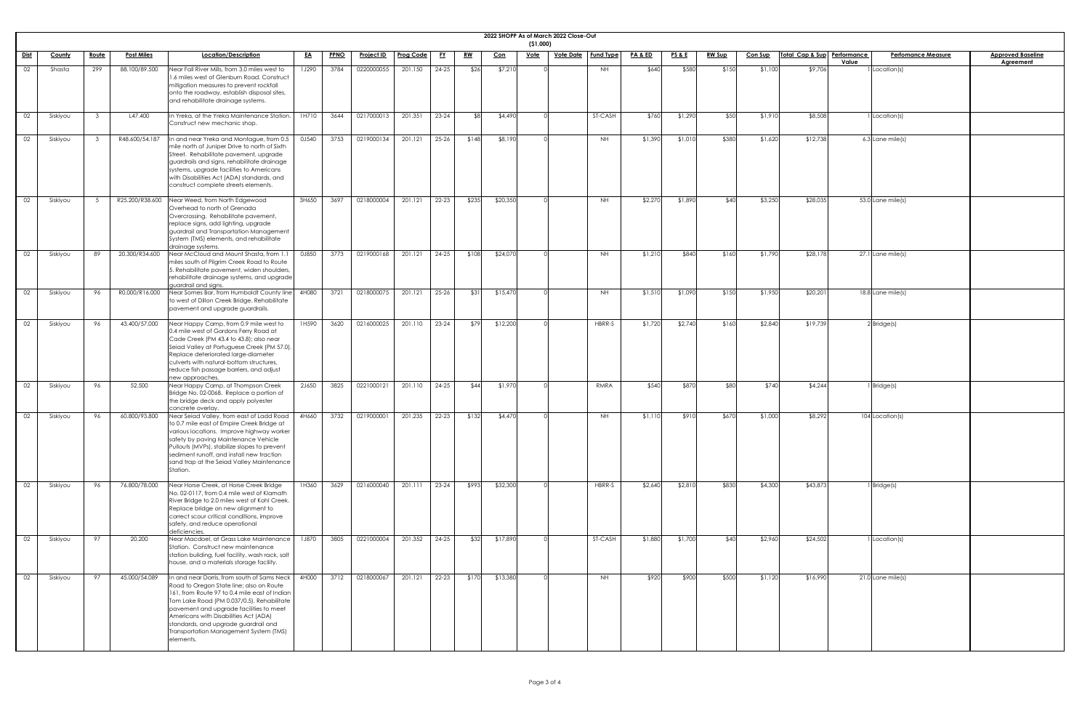|             |               |              |                   |                                                                                                                                                                                                                                                                                                                                                                           |           |             |                   |                  |           |           |            | (51,000)    | 2022 SHOPP As of March 2022 Close-Out |                  |                    |                 |               |                |                             |                                    |                                              |
|-------------|---------------|--------------|-------------------|---------------------------------------------------------------------------------------------------------------------------------------------------------------------------------------------------------------------------------------------------------------------------------------------------------------------------------------------------------------------------|-----------|-------------|-------------------|------------------|-----------|-----------|------------|-------------|---------------------------------------|------------------|--------------------|-----------------|---------------|----------------|-----------------------------|------------------------------------|----------------------------------------------|
| <u>Dist</u> | <b>County</b> | <u>Route</u> | <b>Post Miles</b> | Location/Description                                                                                                                                                                                                                                                                                                                                                      | <u>EA</u> | <b>PPNO</b> | <u>Project ID</u> | <b>Prog Code</b> | <u>FY</u> | <u>RW</u> | <u>Con</u> | <u>Vote</u> | <u>Vote Date</u>                      | <b>Fund Type</b> | <b>PA &amp; ED</b> | <u>PS&amp;E</u> | <u>RW Sup</u> | <b>Con Sup</b> | Total Cap & Sup Performance | <b>Perfomance Measure</b><br>Value | <b>Approved Baseline</b><br><b>Agreement</b> |
| 02          | Shasta        | 299          | 88.100/89.500     | Near Fall River Mills, from 3.0 miles west to<br>1.6 miles west of Glenburn Road. Construct<br>mitigation measures to prevent rockfall<br>onto the roadway, establish disposal sites,<br>and rehabilitate drainage systems.                                                                                                                                               | 1J290     | 3784        | 0220000055        | 201.150          | $24 - 25$ | \$26      | \$7,210    |             |                                       | NH               | \$640              | \$580           | \$150         | \$1,100        | \$9,706                     | Location(s)                        |                                              |
| 02          | Siskiyou      |              | L47.400           | In Yreka, at the Yreka Maintenance Station<br>Construct new mechanic shop.                                                                                                                                                                                                                                                                                                | 1H710     | 3644        | 0217000013        | 201.351          | $23 - 24$ | ୍ୟଧ       | \$4,490    |             |                                       | ST-CASH          | \$760              | \$1,290         | \$50          | \$1,910        | \$8,508                     | Location(s)                        |                                              |
| 02          | Siskiyou      |              | R48.600/54.187    | In and near Yreka and Montague, from 0.5<br>mile north of Juniper Drive to north of Sixth<br>Street. Rehabilitate pavement, upgrade<br>guardrails and signs, rehabilitate drainage<br>systems, upgrade facilities to Americans<br>with Disabilities Act (ADA) standards, and<br>construct complete streets elements.                                                      | 0J540     | 3753        | 0219000134        | 201.121          | $25 - 26$ | \$148     | \$8,190    |             |                                       | <b>NH</b>        | \$1,390            | \$1,010         | \$380         | \$1,620        | \$12,738                    | 6.3 Lane mile(s)                   |                                              |
| 02          | Siskiyou      |              | R25.200/R38.600   | Near Weed, from North Edgewood<br>Overhead to north of Grenada<br>Overcrossing. Rehabilitate pavement,<br>replace signs, add lighting, upgrade<br>guardrail and Transportation Management<br>System (TMS) elements, and rehabilitate<br>drainage systems.                                                                                                                 | 3H650     | 3697        | 0218000004        | 201.121          | $22 - 23$ | \$235     | \$20,350   |             |                                       | <b>NH</b>        | \$2,270            | \$1,890         | \$40          | \$3,250        | \$28,035                    | $53.0$ Lane mile(s)                |                                              |
| 02          | Siskiyou      | 89           | 20.300/R34.600    | Near McCloud and Mount Shasta, from 1.1<br>miles south of Pilgrim Creek Road to Route<br>5. Rehabilitate pavement, widen shoulders,<br>rehabilitate drainage systems, and upgrade<br>guardrail and signs.                                                                                                                                                                 | 0J850     | 3773        | 0219000168        | 201.121          | $24 - 25$ | \$108     | \$24,070   |             |                                       | <b>NH</b>        | \$1,210            | \$840           | \$160         | \$1,790        | \$28,178                    | $27.1$ Lane mile(s)                |                                              |
| 02          | Siskiyou      | 96           |                   | R0.000/R16.000 Near Somes Bar, from Humboldt County line 4H080 3721 0218000075 201.121 25-26<br>to west of Dillon Creek Bridge. Rehabilitate<br>pavement and upgrade guardrails.                                                                                                                                                                                          |           |             |                   |                  |           | \$31      | \$15,470   |             |                                       | <b>NH</b>        | \$1,510            | \$1,090         | \$150         | \$1,950        | \$20,201                    | 18.8 Lane mile(s)                  |                                              |
| 02          | Siskiyou      | 96           | 43.400/57.000     | Near Happy Camp, from 0.9 mile west to<br>0.4 mile west of Gordons Ferry Road at<br>Cade Creek (PM 43.4 to 43.8); also near<br>Seiad Valley at Portuguese Creek (PM 57.0).<br>Replace deteriorated large-diameter<br>culverts with natural-bottom structures,<br>reduce fish passage barriers, and adjust<br>new approaches.                                              | 1H590     | 3620        | 0216000025        | 201.110          | $23 - 24$ | \$79      | \$12,200   |             |                                       | HBRR-S           | \$1,720            | \$2,740         | \$160         | \$2,840        | \$19,739                    | $2$ Bridge(s)                      |                                              |
| 02          | Siskiyou      | 96           | 52.500            | Near Happy Camp, at Thompson Creek<br>Bridge No. 02-0068. Replace a portion of<br>the bridge deck and apply polyester<br>concrete overlay.                                                                                                                                                                                                                                | 2J650     | 3825        | 0221000121        | 201.110          | 24-25     | \$44      | \$1,970    |             |                                       | RMRA             | \$540              | \$870           | \$80          | \$740          | \$4,24                      | Bridge(s)                          |                                              |
| 02          | Siskiyou      | 96           | 60.800/93.800     | Near Seiad Valley, from east of Ladd Road<br>to 0.7 mile east of Empire Creek Bridge at<br>various locations. Improve highway worker<br>safety by paving Maintenance Vehicle<br>Pullouts (MVPs), stabilize slopes to prevent<br>sediment runoff, and install new traction<br>sand trap at the Seiad Valley Maintenance<br>Station.                                        | 4H660     | 3732        | 0219000001        | 201.235          | $22 - 23$ | \$132     | \$4,470    |             |                                       | NH               | \$1,110            | \$910           | \$670         | \$1,000        | \$8,292                     | 104 Location(s)                    |                                              |
| 02          | Siskiyou      | 96           | 76.800/78.000     | Near Horse Creek, at Horse Creek Bridge<br>No. 02-0117, from 0.4 mile west of Klamath<br>River Bridge to 2.0 miles west of Kohl Creek.<br>Replace bridge on new alignment to<br>correct scour critical conditions, improve<br>safety, and reduce operational<br>deficiencies.                                                                                             | 1H360     | 3629        | 0216000040        | 201.111          | $23 - 24$ | \$993     | \$32,300   |             |                                       | HBRR-S           | \$2,640            | \$2,810         | \$830         | \$4,300        | \$43,873                    | Bridge(s)                          |                                              |
| 02          | Siskiyou      | 97           | 20.200            | Near Macdoel, at Grass Lake Maintenance<br>Station. Construct new maintenance<br>station building, fuel facility, wash rack, salt<br>house, and a materials storage facility.                                                                                                                                                                                             | 1J870     | 3805        | 0221000004        | 201.352          | $24 - 25$ | \$32      | \$17,890   |             |                                       | ST-CASH          | \$1,880            | \$1,700         | \$40          | \$2,960        | \$24,502                    | Location(s)                        |                                              |
| 02          | Siskiyou      | 97           | 45.000/54.089     | In and near Dorris, from south of Sams Neck<br>Road to Oregon State line; also on Route<br>161, from Route 97 to 0.4 mile east of Indian<br>Tom Lake Road (PM 0.037/0.5). Rehabilitate<br>pavement and upgrade facilities to meet<br>Americans with Disabilities Act (ADA)<br>standards, and upgrade guardrail and<br>Transportation Management System (TMS)<br>elements. | 4H000     | 3712        | 0218000067        | 201.121          | 22-23     | \$170     | \$13,380   |             |                                       | <b>NH</b>        | \$920              | \$900           | \$500         | \$1,120        | \$16,990                    | $21.0$ Lane mile(s)                |                                              |

| <u>ne</u> |  |
|-----------|--|
|           |  |
|           |  |
|           |  |
|           |  |
|           |  |
|           |  |
|           |  |
|           |  |
|           |  |
|           |  |
|           |  |
|           |  |
|           |  |
|           |  |
|           |  |
|           |  |
|           |  |
|           |  |
|           |  |
|           |  |
|           |  |
|           |  |
|           |  |
|           |  |
|           |  |
|           |  |
|           |  |
|           |  |
|           |  |
|           |  |
|           |  |
|           |  |
|           |  |
|           |  |
|           |  |
|           |  |
|           |  |
|           |  |
|           |  |
|           |  |
|           |  |